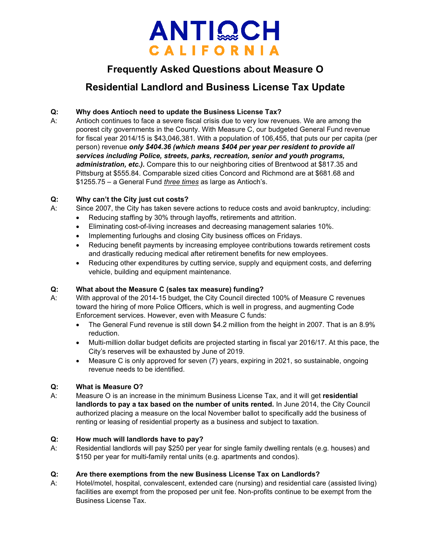

# **Frequently Asked Questions about Measure O**

# **Residential Landlord and Business License Tax Update**

# **Q: Why does Antioch need to update the Business License Tax?**

A: Antioch continues to face a severe fiscal crisis due to very low revenues. We are among the poorest city governments in the County. With Measure C, our budgeted General Fund revenue for fiscal year 2014/15 is \$43,046,381. With a population of 106,455, that puts our per capita (per person) revenue *only \$404.36 (which means \$404 per year per resident to provide all services including Police, streets, parks, recreation, senior and youth programs, administration, etc.).* Compare this to our neighboring cities of Brentwood at \$817.35 and Pittsburg at \$555.84. Comparable sized cities Concord and Richmond are at \$681.68 and \$1255.75 – a General Fund *three times* as large as Antioch's.

### **Q: Why can't the City just cut costs?**

A: Since 2007, the City has taken severe actions to reduce costs and avoid bankruptcy, including:

- Reducing staffing by 30% through layoffs, retirements and attrition.
- Eliminating cost-of-living increases and decreasing management salaries 10%.
- Implementing furloughs and closing City business offices on Fridays.
- Reducing benefit payments by increasing employee contributions towards retirement costs and drastically reducing medical after retirement benefits for new employees.
- Reducing other expenditures by cutting service, supply and equipment costs, and deferring vehicle, building and equipment maintenance.

# **Q: What about the Measure C (sales tax measure) funding?**

- A: With approval of the 2014-15 budget, the City Council directed 100% of Measure C revenues toward the hiring of more Police Officers, which is well in progress, and augmenting Code Enforcement services. However, even with Measure C funds:
	- The General Fund revenue is still down \$4.2 million from the height in 2007. That is an 8.9% reduction.
	- Multi-million dollar budget deficits are projected starting in fiscal yar 2016/17. At this pace, the City's reserves will be exhausted by June of 2019.
	- Measure C is only approved for seven (7) years, expiring in 2021, so sustainable, ongoing revenue needs to be identified.

# **Q: What is Measure O?**

A: Measure O is an increase in the minimum Business License Tax, and it will get **residential landlords to pay a tax based on the number of units rented.** In June 2014, the City Council authorized placing a measure on the local November ballot to specifically add the business of renting or leasing of residential property as a business and subject to taxation.

#### **Q: How much will landlords have to pay?**

A: Residential landlords will pay \$250 per year for single family dwelling rentals (e.g. houses) and \$150 per year for multi-family rental units (e.g. apartments and condos).

# **Q: Are there exemptions from the new Business License Tax on Landlords?**

A: Hotel/motel, hospital, convalescent, extended care (nursing) and residential care (assisted living) facilities are exempt from the proposed per unit fee. Non-profits continue to be exempt from the Business License Tax.